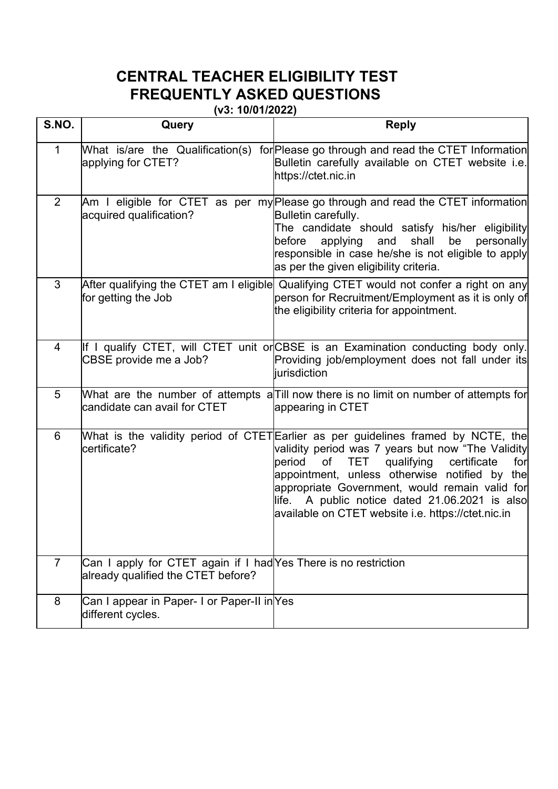|                | <b>CENTRAL TEACHER ELIGIBILITY TEST</b><br><b>FREQUENTLY ASKED QUESTIONS</b><br>(v3: 10/01/2022)      |                                                                                                                                                                                                                                                                                                                                                                                                    |
|----------------|-------------------------------------------------------------------------------------------------------|----------------------------------------------------------------------------------------------------------------------------------------------------------------------------------------------------------------------------------------------------------------------------------------------------------------------------------------------------------------------------------------------------|
| S.NO.          | Query                                                                                                 | <b>Reply</b>                                                                                                                                                                                                                                                                                                                                                                                       |
|                | What is/are the Qualification(s)<br>applying for CTET?                                                | for Please go through and read the CTET Information<br>Bulletin carefully available on CTET website i.e.<br>https://ctet.nic.in                                                                                                                                                                                                                                                                    |
| $\overline{2}$ | acquired qualification?                                                                               | Am I eligible for CTET as per my Please go through and read the CTET information<br>Bulletin carefully.<br>The candidate should satisfy his/her eligibility<br>before applying and shall be personally<br>responsible in case he/she is not eligible to apply<br>as per the given eligibility criteria.                                                                                            |
| 3              | for getting the Job                                                                                   | After qualifying the CTET am I eligible Qualifying CTET would not confer a right on any<br>person for Recruitment/Employment as it is only of<br>the eligibility criteria for appointment.                                                                                                                                                                                                         |
| 4              | CBSE provide me a Job?                                                                                | qualify CTET, will CTET unit or CBSE is an Examination conducting body only.<br>Providing job/employment does not fall under its<br>iurisdiction                                                                                                                                                                                                                                                   |
| 5              | candidate can avail for CTET                                                                          | What are the number of attempts a Till now there is no limit on number of attempts for<br>appearing in CTET                                                                                                                                                                                                                                                                                        |
| 6              | certificate?                                                                                          | What is the validity period of CTET Earlier as per guidelines framed by NCTE, the<br>validity period was 7 years but now "The Validity<br>period of TET qualifying certificate<br>for<br>appointment, unless otherwise notified by the<br>appropriate Government, would remain valid for<br>life. A public notice dated $21.06.2021$ is also<br>available on CTET website i.e. https://ctet.nic.in |
| $\overline{7}$ | Can I apply for CTET again if I had Yes There is no restriction<br>already qualified the CTET before? |                                                                                                                                                                                                                                                                                                                                                                                                    |
| 8              | Can I appear in Paper- I or Paper-II in Yes<br>different cycles.                                      |                                                                                                                                                                                                                                                                                                                                                                                                    |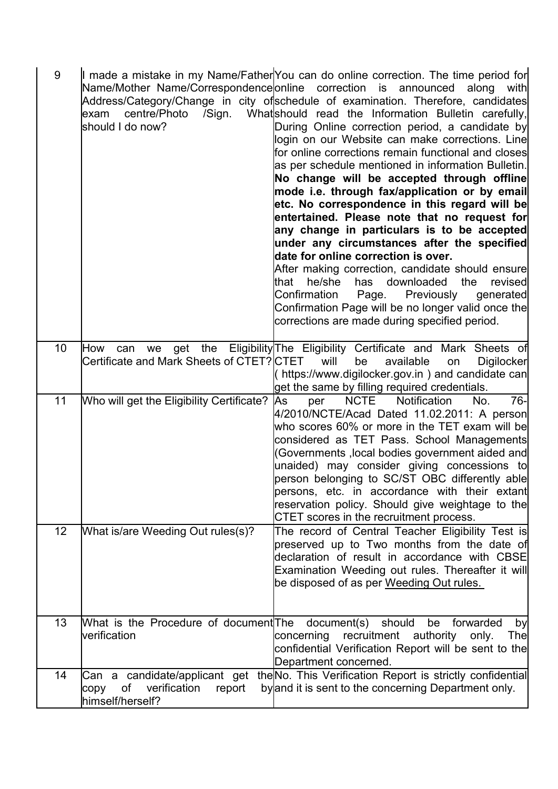| 9               | centre/Photo<br>/Sign.<br>lexam<br>lshould I do now? | I made a mistake in my Name/Father You can do online correction. The time period for<br>Name/Mother Name/Correspondence online correction is announced along with<br>Address/Category/Change in city ofschedule of examination. Therefore, candidates<br>Whatshould read the Information Bulletin carefully,<br>During Online correction period, a candidate by<br>login on our Website can make corrections. Line<br>for online corrections remain functional and closes<br>as per schedule mentioned in information Bulletin.<br>No change will be accepted through offline<br>mode i.e. through fax/application or by email<br>etc. No correspondence in this regard will be<br>entertained. Please note that no request for<br>any change in particulars is to be accepted<br>under any circumstances after the specified<br>date for online correction is over.<br>After making correction, candidate should ensure<br>that he/she<br>has downloaded<br>the revised<br>Confirmation<br>Page.<br>Previously<br>generated<br>Confirmation Page will be no longer valid once the<br>corrections are made during specified period. |
|-----------------|------------------------------------------------------|-------------------------------------------------------------------------------------------------------------------------------------------------------------------------------------------------------------------------------------------------------------------------------------------------------------------------------------------------------------------------------------------------------------------------------------------------------------------------------------------------------------------------------------------------------------------------------------------------------------------------------------------------------------------------------------------------------------------------------------------------------------------------------------------------------------------------------------------------------------------------------------------------------------------------------------------------------------------------------------------------------------------------------------------------------------------------------------------------------------------------------------|
| 10 <sup>°</sup> | Certificate and Mark Sheets of CTET? CTET            | How can we get the Eligibility The Eligibility Certificate and Mark Sheets of<br>will<br>available<br>be<br>Digilocker<br>on<br>https://www.digilocker.gov.in) and candidate can<br>get the same by filling required credentials.                                                                                                                                                                                                                                                                                                                                                                                                                                                                                                                                                                                                                                                                                                                                                                                                                                                                                                   |
| 11              | Who will get the Eligibility Certificate?            | <b>NCTE</b><br>Notification<br>$76-$<br><b>JAs</b><br>per<br>No.<br>4/2010/NCTE/Acad Dated 11.02.2011: A person<br>who scores 60% or more in the TET exam will be<br>considered as TET Pass. School Managements<br>(Governments ,local bodies government aided and<br>unaided) may consider giving concessions to<br>person belonging to SC/ST OBC differently able<br>persons, etc. in accordance with their extant<br>reservation policy. Should give weightage to the<br>CTET scores in the recruitment process.                                                                                                                                                                                                                                                                                                                                                                                                                                                                                                                                                                                                                 |
| 12              | What is/are Weeding Out rules(s)?                    | The record of Central Teacher Eligibility Test is<br>preserved up to Two months from the date of<br>declaration of result in accordance with CBSE<br>Examination Weeding out rules. Thereafter it will<br>be disposed of as per Weeding Out rules.                                                                                                                                                                                                                                                                                                                                                                                                                                                                                                                                                                                                                                                                                                                                                                                                                                                                                  |
| 13              | verification                                         | What is the Procedure of document The document(s) should be forwarded<br>by<br>concerning recruitment authority only.<br><b>The</b><br>confidential Verification Report will be sent to the<br>Department concerned.                                                                                                                                                                                                                                                                                                                                                                                                                                                                                                                                                                                                                                                                                                                                                                                                                                                                                                                |
| 14              | himself/herself?                                     | Can a candidate/applicant get the No. This Verification Report is strictly confidential<br>copy of verification report by and it is sent to the concerning Department only.                                                                                                                                                                                                                                                                                                                                                                                                                                                                                                                                                                                                                                                                                                                                                                                                                                                                                                                                                         |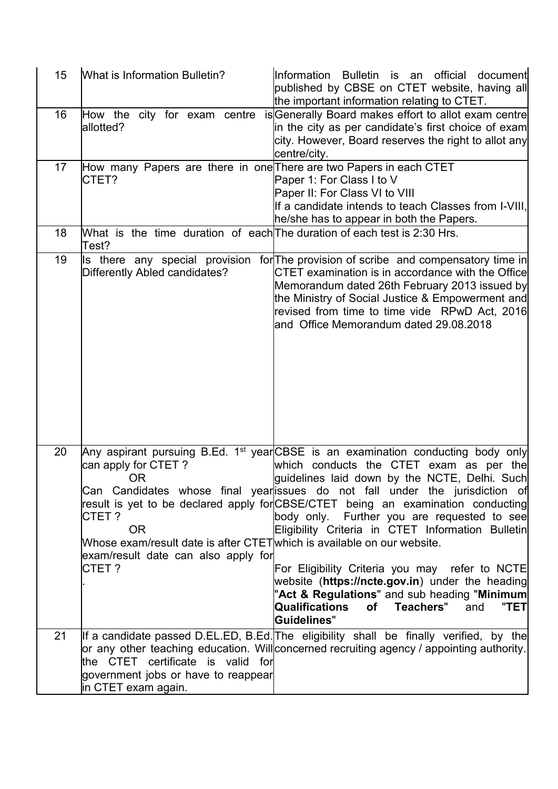| 15 | What is Information Bulletin?                                                                                                                                             | Information Bulletin is an official<br>documentl<br>published by CBSE on CTET website, having all<br>the important information relating to CTET.                                                                                                                                                                                                                                                                                                                 |
|----|---------------------------------------------------------------------------------------------------------------------------------------------------------------------------|------------------------------------------------------------------------------------------------------------------------------------------------------------------------------------------------------------------------------------------------------------------------------------------------------------------------------------------------------------------------------------------------------------------------------------------------------------------|
| 16 | How the<br>city for exam centre<br>allotted?                                                                                                                              | is Generally Board makes effort to allot exam centre<br>in the city as per candidate's first choice of exam<br>city. However, Board reserves the right to allot any<br>centre/city.                                                                                                                                                                                                                                                                              |
| 17 | How many Papers are there in one There are two Papers in each CTET<br>ICTET?                                                                                              | Paper 1: For Class I to V<br>Paper II: For Class VI to VIII<br>If a candidate intends to teach Classes from I-VIII.<br>he/she has to appear in both the Papers.                                                                                                                                                                                                                                                                                                  |
| 18 | What is the time duration of each The duration of each test is 2:30 Hrs.<br>「est?                                                                                         |                                                                                                                                                                                                                                                                                                                                                                                                                                                                  |
| 19 | Differently Abled candidates?                                                                                                                                             | Is there any special provision for The provision of scribe and compensatory time in<br>CTET examination is in accordance with the Office<br>Memorandum dated 26th February 2013 issued by<br>the Ministry of Social Justice & Empowerment and<br>revised from time to time vide RPwD Act, 2016<br>and Office Memorandum dated 29.08.2018                                                                                                                         |
|    |                                                                                                                                                                           |                                                                                                                                                                                                                                                                                                                                                                                                                                                                  |
| 20 | can apply for CTET ?<br><b>OR</b><br>CTET?<br><b>OR</b><br>Whose exam/result date is after CTET which is available on our website.<br>exam/result date can also apply for | Any aspirant pursuing B.Ed. 1 <sup>st</sup> year CBSE is an examination conducting body only<br>which conducts the CTET exam as per the<br>guidelines laid down by the NCTE, Delhi. Such<br>Can Candidates whose final year issues do not fall under the jurisdiction of<br>result is yet to be declared apply for CBSE/CTET being an examination conducting<br>body only. Further you are requested to see<br>Eligibility Criteria in CTET Information Bulletin |
|    | ICTET ?                                                                                                                                                                   | For Eligibility Criteria you may refer to NCTE<br>website (https://ncte.gov.in) under the heading<br>"Act & Regulations" and sub heading "Minimum<br>Qualifications<br>"TET<br>of Teachers"<br>and<br>Guidelines"                                                                                                                                                                                                                                                |
| 21 | the CTET certificate is valid for<br>government jobs or have to reappear<br>in CTET exam again.                                                                           | If a candidate passed D.EL.ED, B.Ed. The eligibility shall be finally verified, by the<br>or any other teaching education. Willconcerned recruiting agency / appointing authority.                                                                                                                                                                                                                                                                               |